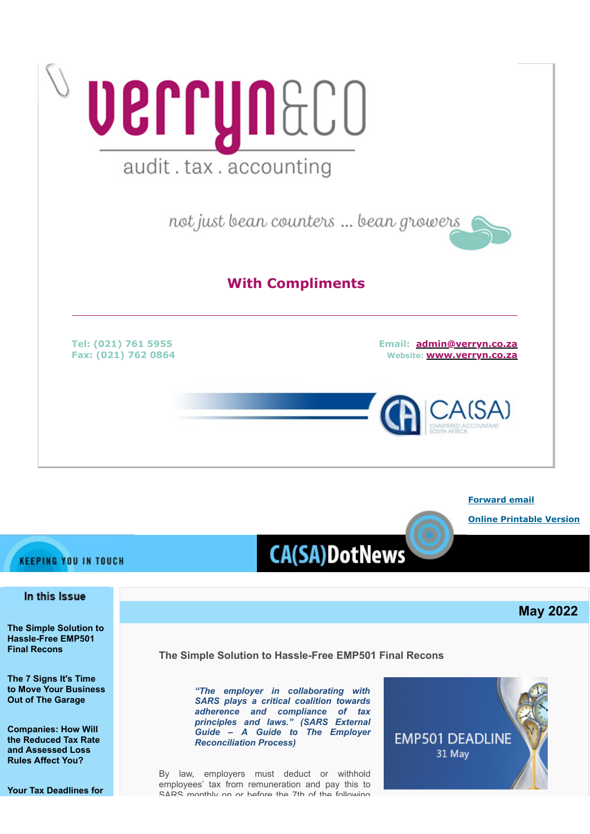

**[Forward email](http://www.dotnews.co.za/Code/Forward.aspx?qry=yKPR5eDKNlaukY9Ps7iCg5WXia-s5Dt1Cc13BFzUw_HXDohDyoog8O3Cq4oIFnsP5BrsvhNGbTHSm9z6VCHl5LTP_xw1vWCLZZQzekZkSYnsE29zIsAeggNtMLUrxUQ4fPJfgm0Xp9wX53P-_9HUMMWvXC70clm3758pBfvl4q4=-NOPAD)**

**[Online Printable Version](http://www.dotnews.co.za/Code/print.aspx?qry=yKPR5eDKNlaukY9Ps7iCg5WXia-s5Dt1Cc13BFzUw_HXDohDyoog8O3Cq4oIFnsP5BrsvhNGbTHSm9z6VCHl5LTP_xw1vWCLZZQzekZkSYkSubWumJYOm9_SnAYRWKvu-NOPAD)**

**May 2022**

## **KEEPING YOU IN TOUCH**

# **CA(SA)DotNews**

## In this Issue

**[The Simple Solution to](#page-0-0) [Hassle-Free EMP501](#page-0-0) [Final Recons](#page-0-0)**

**[The 7 Signs It's Time](#page-2-0) [to Move Your Business](#page-2-0) [Out of The Garage](#page-2-0)**

**[Companies: How Will](#page-4-0) [the Reduced Tax Rate](#page-4-0) [and Assessed Loss](#page-4-0) [Rules Affect You?](#page-4-0)**

**[Your Tax Deadlines for](#page-6-0)**

<span id="page-0-0"></span>**The Simple Solution to Hassle-Free EMP501 Final Recons**

*"The employer in collaborating with SARS plays a critical coalition towards adherence and compliance of tax principles and laws." (SARS External Guide – A Guide to The Employer Reconciliation Process)*

By law, employers must deduct or withhold employees' tax from remuneration and pay this to SARS monthly on or bofore the 7th of the following

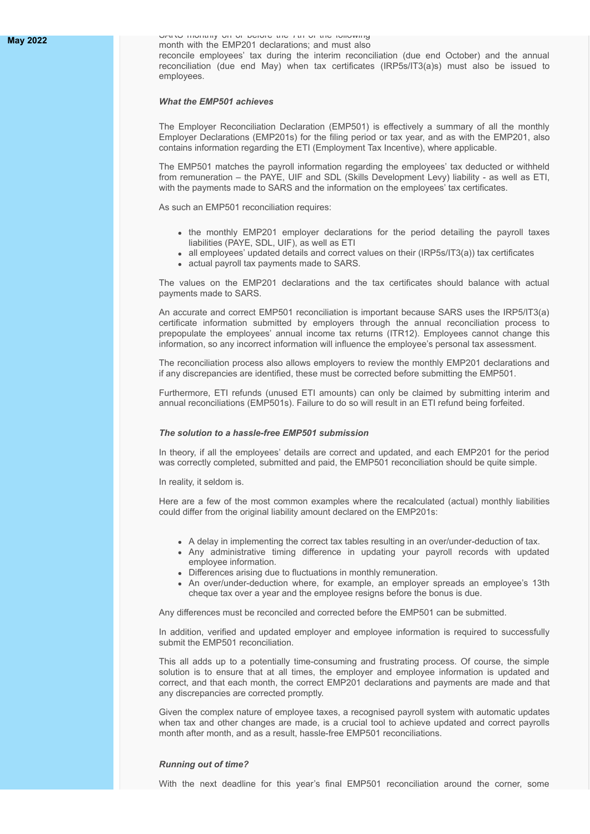**[May 2022](#page-6-0)** SARS monthly on or before the 7th of the following month with the EMP201 declarations; and must also

reconcile employees' tax during the interim reconciliation (due end October) and the annual reconciliation (due end May) when tax certificates (IRP5s/IT3(a)s) must also be issued to employees.

#### *What the EMP501 achieves*

The Employer Reconciliation Declaration (EMP501) is effectively a summary of all the monthly Employer Declarations (EMP201s) for the filing period or tax year, and as with the EMP201, also contains information regarding the ETI (Employment Tax Incentive), where applicable.

The EMP501 matches the payroll information regarding the employees' tax deducted or withheld from remuneration – the PAYE, UIF and SDL (Skills Development Levy) liability - as well as ETI, with the payments made to SARS and the information on the employees' tax certificates.

As such an EMP501 reconciliation requires:

- the monthly EMP201 employer declarations for the period detailing the payroll taxes liabilities (PAYE, SDL, UIF), as well as ETI
- all employees' updated details and correct values on their (IRP5s/IT3(a)) tax certificates
- actual payroll tax payments made to SARS.

The values on the EMP201 declarations and the tax certificates should balance with actual payments made to SARS.

An accurate and correct EMP501 reconciliation is important because SARS uses the IRP5/IT3(a) certificate information submitted by employers through the annual reconciliation process to prepopulate the employees' annual income tax returns (ITR12). Employees cannot change this information, so any incorrect information will influence the employee's personal tax assessment.

The reconciliation process also allows employers to review the monthly EMP201 declarations and if any discrepancies are identified, these must be corrected before submitting the EMP501.

Furthermore, ETI refunds (unused ETI amounts) can only be claimed by submitting interim and annual reconciliations (EMP501s). Failure to do so will result in an ETI refund being forfeited.

#### *The solution to a hassle-free EMP501 submission*

In theory, if all the employees' details are correct and updated, and each EMP201 for the period was correctly completed, submitted and paid, the EMP501 reconciliation should be quite simple.

In reality, it seldom is.

Here are a few of the most common examples where the recalculated (actual) monthly liabilities could differ from the original liability amount declared on the EMP201s:

- A delay in implementing the correct tax tables resulting in an over/under-deduction of tax.
- Any administrative timing difference in updating your payroll records with updated employee information.
- Differences arising due to fluctuations in monthly remuneration.
- An over/under-deduction where, for example, an employer spreads an employee's 13th cheque tax over a year and the employee resigns before the bonus is due.

Any differences must be reconciled and corrected before the EMP501 can be submitted.

In addition, verified and updated employer and employee information is required to successfully submit the **EMP501** reconciliation.

This all adds up to a potentially time-consuming and frustrating process. Of course, the simple solution is to ensure that at all times, the employer and employee information is updated and correct, and that each month, the correct EMP201 declarations and payments are made and that any discrepancies are corrected promptly.

Given the complex nature of employee taxes, a recognised payroll system with automatic updates when tax and other changes are made, is a crucial tool to achieve updated and correct payrolls month after month, and as a result, hassle-free EMP501 reconciliations.

#### *Running out of time?*

With the next deadline for this year's final EMP501 reconciliation around the corner, some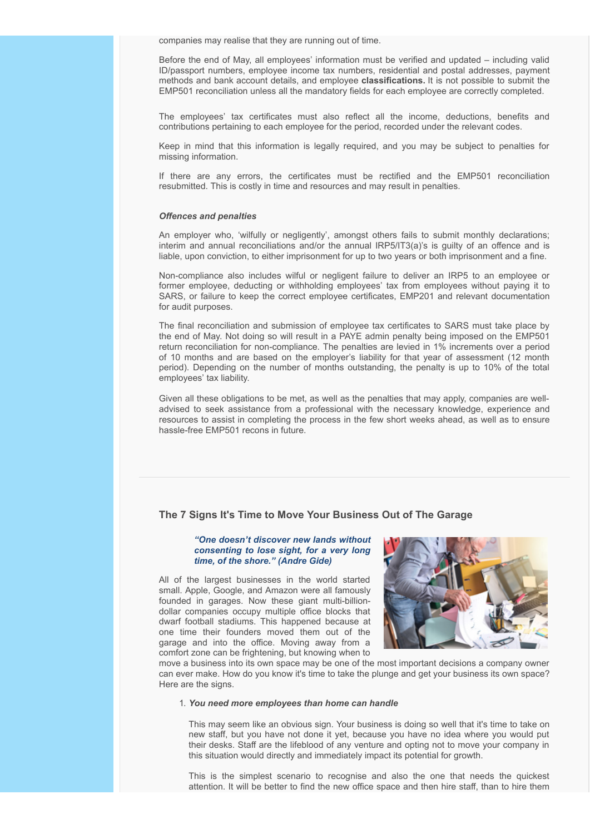companies may realise that they are running out of time.

Before the end of May, all employees' information must be verified and updated – including valid ID/passport numbers, employee income tax numbers, residential and postal addresses, payment methods and bank account details, and employee **classifications.** It is not possible to submit the EMP501 reconciliation unless all the mandatory fields for each employee are correctly completed.

The employees' tax certificates must also reflect all the income, deductions, benefits and contributions pertaining to each employee for the period, recorded under the relevant codes.

Keep in mind that this information is legally required, and you may be subject to penalties for missing information.

If there are any errors, the certificates must be rectified and the EMP501 reconciliation resubmitted. This is costly in time and resources and may result in penalties.

#### *Offences and penalties*

An employer who, 'wilfully or negligently', amongst others fails to submit monthly declarations; interim and annual reconciliations and/or the annual IRP5/IT3(a)'s is guilty of an offence and is liable, upon conviction, to either imprisonment for up to two years or both imprisonment and a fine.

Non-compliance also includes wilful or negligent failure to deliver an IRP5 to an employee or former employee, deducting or withholding employees' tax from employees without paying it to SARS, or failure to keep the correct employee certificates, EMP201 and relevant documentation for audit purposes.

The final reconciliation and submission of employee tax certificates to SARS must take place by the end of May. Not doing so will result in a PAYE admin penalty being imposed on the EMP501 return reconciliation for non-compliance. The penalties are levied in 1% increments over a period of 10 months and are based on the employer's liability for that year of assessment (12 month period). Depending on the number of months outstanding, the penalty is up to 10% of the total employees' tax liability.

Given all these obligations to be met, as well as the penalties that may apply, companies are welladvised to seek assistance from a professional with the necessary knowledge, experience and resources to assist in completing the process in the few short weeks ahead, as well as to ensure hassle-free EMP501 recons in future.

## <span id="page-2-0"></span>**The 7 Signs It's Time to Move Your Business Out of The Garage**

#### *"One doesn't discover new lands without consenting to lose sight, for a very long time, of the shore." (Andre Gide)*

All of the largest businesses in the world started small. Apple, Google, and Amazon were all famously founded in garages. Now these giant multi-billiondollar companies occupy multiple office blocks that dwarf football stadiums. This happened because at one time their founders moved them out of the garage and into the office. Moving away from a comfort zone can be frightening, but knowing when to



move a business into its own space may be one of the most important decisions a company owner can ever make. How do you know it's time to take the plunge and get your business its own space? Here are the signs.

#### 1. *You need more employees than home can handle*

This may seem like an obvious sign. Your business is doing so well that it's time to take on new staff, but you have not done it yet, because you have no idea where you would put their desks. Staff are the lifeblood of any venture and opting not to move your company in this situation would directly and immediately impact its potential for growth.

This is the simplest scenario to recognise and also the one that needs the quickest attention. It will be better to find the new office space and then hire staff, than to hire them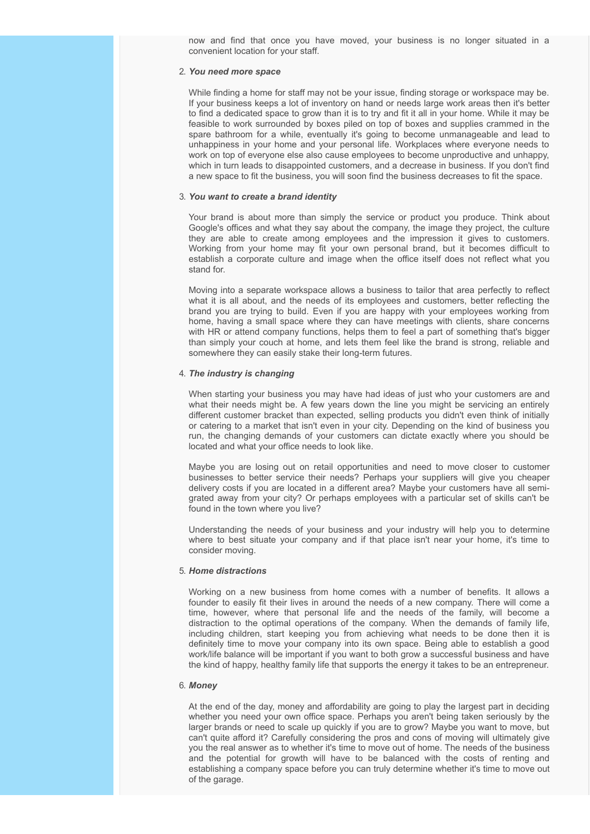now and find that once you have moved, your business is no longer situated in a convenient location for your staff.

#### 2. *You need more space*

While finding a home for staff may not be your issue, finding storage or workspace may be. If your business keeps a lot of inventory on hand or needs large work areas then it's better to find a dedicated space to grow than it is to try and fit it all in your home. While it may be feasible to work surrounded by boxes piled on top of boxes and supplies crammed in the spare bathroom for a while, eventually it's going to become unmanageable and lead to unhappiness in your home and your personal life. Workplaces where everyone needs to work on top of everyone else also cause employees to become unproductive and unhappy, which in turn leads to disappointed customers, and a decrease in business. If you don't find a new space to fit the business, you will soon find the business decreases to fit the space.

#### 3. *You want to create a brand identity*

Your brand is about more than simply the service or product you produce. Think about Google's offices and what they say about the company, the image they project, the culture they are able to create among employees and the impression it gives to customers. Working from your home may fit your own personal brand, but it becomes difficult to establish a corporate culture and image when the office itself does not reflect what you stand for.

Moving into a separate workspace allows a business to tailor that area perfectly to reflect what it is all about, and the needs of its employees and customers, better reflecting the brand you are trying to build. Even if you are happy with your employees working from home, having a small space where they can have meetings with clients, share concerns with HR or attend company functions, helps them to feel a part of something that's bigger than simply your couch at home, and lets them feel like the brand is strong, reliable and somewhere they can easily stake their long-term futures.

#### 4. *The industry is changing*

When starting your business you may have had ideas of just who your customers are and what their needs might be. A few years down the line you might be servicing an entirely different customer bracket than expected, selling products you didn't even think of initially or catering to a market that isn't even in your city. Depending on the kind of business you run, the changing demands of your customers can dictate exactly where you should be located and what your office needs to look like.

Maybe you are losing out on retail opportunities and need to move closer to customer businesses to better service their needs? Perhaps your suppliers will give you cheaper delivery costs if you are located in a different area? Maybe your customers have all semigrated away from your city? Or perhaps employees with a particular set of skills can't be found in the town where you live?

Understanding the needs of your business and your industry will help you to determine where to best situate your company and if that place isn't near your home, it's time to consider moving.

#### 5. *Home distractions*

Working on a new business from home comes with a number of benefits. It allows a founder to easily fit their lives in around the needs of a new company. There will come a time, however, where that personal life and the needs of the family, will become a distraction to the optimal operations of the company. When the demands of family life, including children, start keeping you from achieving what needs to be done then it is definitely time to move your company into its own space. Being able to establish a good work/life balance will be important if you want to both grow a successful business and have the kind of happy, healthy family life that supports the energy it takes to be an entrepreneur.

#### 6. *Money*

At the end of the day, money and affordability are going to play the largest part in deciding whether you need your own office space. Perhaps you aren't being taken seriously by the larger brands or need to scale up quickly if you are to grow? Maybe you want to move, but can't quite afford it? Carefully considering the pros and cons of moving will ultimately give you the real answer as to whether it's time to move out of home. The needs of the business and the potential for growth will have to be balanced with the costs of renting and establishing a company space before you can truly determine whether it's time to move out of the garage.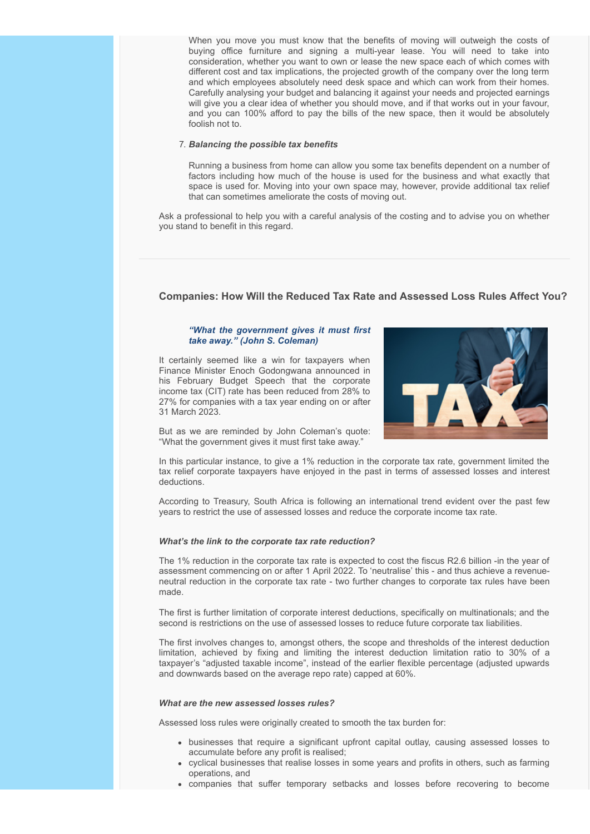When you move you must know that the benefits of moving will outweigh the costs of buying office furniture and signing a multi-year lease. You will need to take into consideration, whether you want to own or lease the new space each of which comes with different cost and tax implications, the projected growth of the company over the long term and which employees absolutely need desk space and which can work from their homes. Carefully analysing your budget and balancing it against your needs and projected earnings will give you a clear idea of whether you should move, and if that works out in your favour, and you can 100% afford to pay the bills of the new space, then it would be absolutely foolish not to.

#### 7. *Balancing the possible tax benefits*

Running a business from home can allow you some tax benefits dependent on a number of factors including how much of the house is used for the business and what exactly that space is used for. Moving into your own space may, however, provide additional tax relief that can sometimes ameliorate the costs of moving out.

Ask a professional to help you with a careful analysis of the costing and to advise you on whether you stand to benefit in this regard.

### <span id="page-4-0"></span>**Companies: How Will the Reduced Tax Rate and Assessed Loss Rules Affect You?**

#### *"What the government gives it must first take away." (John S. Coleman)*

It certainly seemed like a win for taxpayers when Finance Minister Enoch Godongwana announced in his February Budget Speech that the corporate income tax (CIT) rate has been reduced from 28% to 27% for companies with a tax year ending on or after 31 March 2023.



But as we are reminded by John Coleman's quote: "What the government gives it must first take away."

In this particular instance, to give a 1% reduction in the corporate tax rate, government limited the tax relief corporate taxpayers have enjoyed in the past in terms of assessed losses and interest deductions.

According to Treasury, South Africa is following an international trend evident over the past few years to restrict the use of assessed losses and reduce the corporate income tax rate.

#### *What's the link to the corporate tax rate reduction?*

The 1% reduction in the corporate tax rate is expected to cost the fiscus R2.6 billion -in the year of assessment commencing on or after 1 April 2022. To 'neutralise' this - and thus achieve a revenueneutral reduction in the corporate tax rate - two further changes to corporate tax rules have been made.

The first is further limitation of corporate interest deductions, specifically on multinationals; and the second is restrictions on the use of assessed losses to reduce future corporate tax liabilities.

The first involves changes to, amongst others, the scope and thresholds of the interest deduction limitation, achieved by fixing and limiting the interest deduction limitation ratio to 30% of a taxpayer's "adjusted taxable income", instead of the earlier flexible percentage (adjusted upwards and downwards based on the average repo rate) capped at 60%.

#### *What are the new assessed losses rules?*

Assessed loss rules were originally created to smooth the tax burden for:

- businesses that require a significant upfront capital outlay, causing assessed losses to accumulate before any profit is realised;
- cyclical businesses that realise losses in some years and profits in others, such as farming operations, and
- companies that suffer temporary setbacks and losses before recovering to become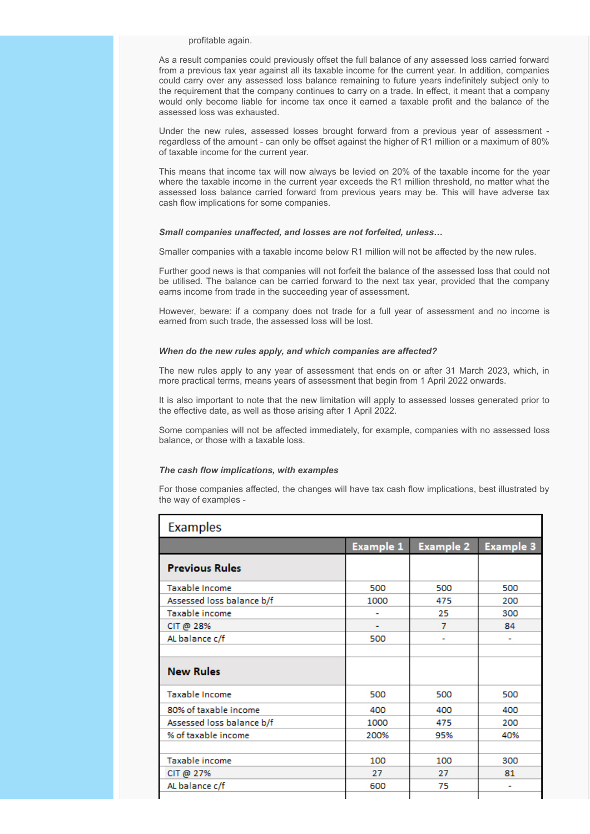profitable again.

As a result companies could previously offset the full balance of any assessed loss carried forward from a previous tax year against all its taxable income for the current year. In addition, companies could carry over any assessed loss balance remaining to future years indefinitely subject only to the requirement that the company continues to carry on a trade. In effect, it meant that a company would only become liable for income tax once it earned a taxable profit and the balance of the assessed loss was exhausted.

Under the new rules, assessed losses brought forward from a previous year of assessment regardless of the amount - can only be offset against the higher of R1 million or a maximum of 80% of taxable income for the current year.

This means that income tax will now always be levied on 20% of the taxable income for the year where the taxable income in the current year exceeds the R1 million threshold, no matter what the assessed loss balance carried forward from previous years may be. This will have adverse tax cash flow implications for some companies.

#### *Small companies unaffected, and losses are not forfeited, unless…*

Smaller companies with a taxable income below R1 million will not be affected by the new rules.

Further good news is that companies will not forfeit the balance of the assessed loss that could not be utilised. The balance can be carried forward to the next tax year, provided that the company earns income from trade in the succeeding year of assessment.

However, beware: if a company does not trade for a full year of assessment and no income is earned from such trade, the assessed loss will be lost.

#### *When do the new rules apply, and which companies are affected?*

The new rules apply to any year of assessment that ends on or after 31 March 2023, which, in more practical terms, means years of assessment that begin from 1 April 2022 onwards.

It is also important to note that the new limitation will apply to assessed losses generated prior to the effective date, as well as those arising after 1 April 2022.

Some companies will not be affected immediately, for example, companies with no assessed loss balance, or those with a taxable loss.

#### *The cash flow implications, with examples*

For those companies affected, the changes will have tax cash flow implications, best illustrated by the way of examples -

| <b>Examples</b>           |                  |                  |                  |  |
|---------------------------|------------------|------------------|------------------|--|
|                           | <b>Example 1</b> | <b>Example 2</b> | <b>Example 3</b> |  |
| <b>Previous Rules</b>     |                  |                  |                  |  |
| <b>Taxable Income</b>     | 500              | 500              | 500              |  |
| Assessed loss balance b/f | 1000             | 475              | 200              |  |
| Taxable income            | ۰                | 25               | 300              |  |
| CIT @ 28%                 |                  | 7                | 84               |  |
| AL balance c/f            | 500              | ٠                | ٠                |  |
|                           |                  |                  |                  |  |
| <b>New Rules</b>          |                  |                  |                  |  |
| <b>Taxable Income</b>     | 500              | 500              | 500              |  |
| 80% of taxable income     | 400              | 400              | 400              |  |
| Assessed loss balance b/f | 1000             | 475              | 200              |  |
| % of taxable income       | 200%             | 95%              | 40%              |  |
|                           |                  |                  |                  |  |
| Taxable income            | 100              | 100              | 300              |  |
| CIT @ $27%$               | 27               | 27               | 81               |  |
| AL balance c/f            | 600              | 75               |                  |  |